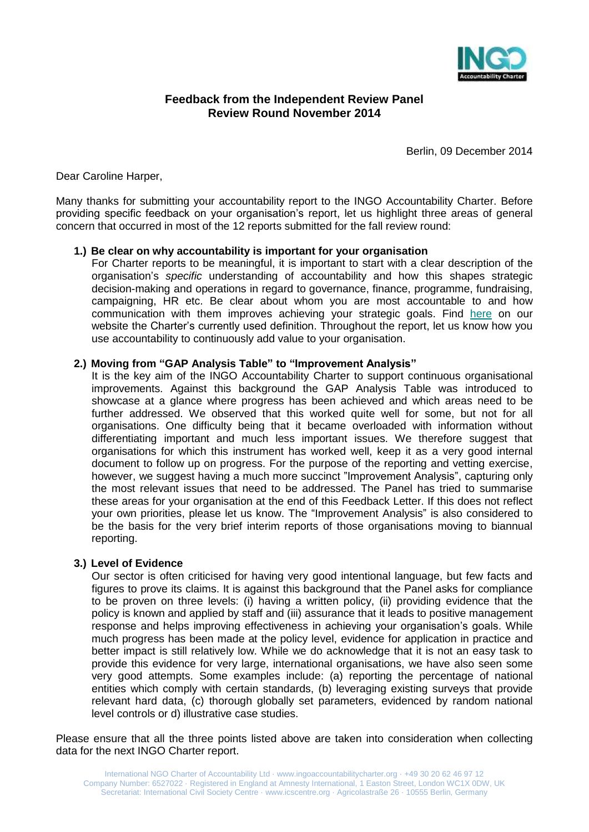

## **Feedback from the Independent Review Panel Review Round November 2014**

Berlin, 09 December 2014

Dear Caroline Harper,

Many thanks for submitting your accountability report to the INGO Accountability Charter. Before providing specific feedback on your organisation's report, let us highlight three areas of general concern that occurred in most of the 12 reports submitted for the fall review round:

### **1.) Be clear on why accountability is important for your organisation**

For Charter reports to be meaningful, it is important to start with a clear description of the organisation's *specific* understanding of accountability and how this shapes strategic decision-making and operations in regard to governance, finance, programme, fundraising, campaigning, HR etc. Be clear about whom you are most accountable to and how communication with them improves achieving your strategic goals. Find [here](http://www.ingoaccountabilitycharter.org/home/what-is-the-charter/questions-and-answers/#Whatisaccountability) on our website the Charter's currently used definition. Throughout the report, let us know how you use accountability to continuously add value to your organisation.

### **2.) Moving from "GAP Analysis Table" to "Improvement Analysis"**

It is the key aim of the INGO Accountability Charter to support continuous organisational improvements. Against this background the GAP Analysis Table was introduced to showcase at a glance where progress has been achieved and which areas need to be further addressed. We observed that this worked quite well for some, but not for all organisations. One difficulty being that it became overloaded with information without differentiating important and much less important issues. We therefore suggest that organisations for which this instrument has worked well, keep it as a very good internal document to follow up on progress. For the purpose of the reporting and vetting exercise, however, we suggest having a much more succinct "Improvement Analysis", capturing only the most relevant issues that need to be addressed. The Panel has tried to summarise these areas for your organisation at the end of this Feedback Letter. If this does not reflect your own priorities, please let us know. The "Improvement Analysis" is also considered to be the basis for the very brief interim reports of those organisations moving to biannual reporting.

## **3.) Level of Evidence**

Our sector is often criticised for having very good intentional language, but few facts and figures to prove its claims. It is against this background that the Panel asks for compliance to be proven on three levels: (i) having a written policy, (ii) providing evidence that the policy is known and applied by staff and (iii) assurance that it leads to positive management response and helps improving effectiveness in achieving your organisation's goals. While much progress has been made at the policy level, evidence for application in practice and better impact is still relatively low. While we do acknowledge that it is not an easy task to provide this evidence for very large, international organisations, we have also seen some very good attempts. Some examples include: (a) reporting the percentage of national entities which comply with certain standards, (b) leveraging existing surveys that provide relevant hard data, (c) thorough globally set parameters, evidenced by random national level controls or d) illustrative case studies.

Please ensure that all the three points listed above are taken into consideration when collecting data for the next INGO Charter report.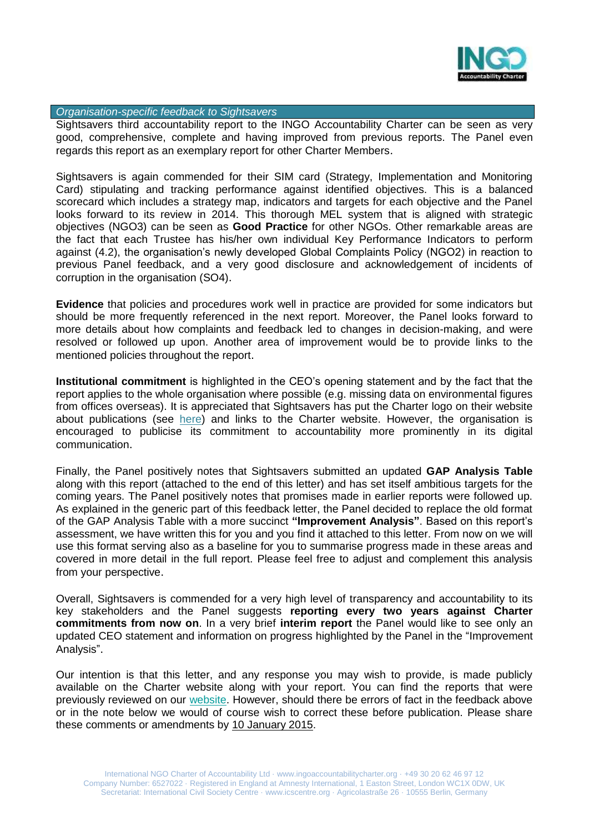

#### *Organisation-specific feedback to Sightsavers*

Sightsavers third accountability report to the INGO Accountability Charter can be seen as very good, comprehensive, complete and having improved from previous reports. The Panel even regards this report as an exemplary report for other Charter Members.

Sightsavers is again commended for their SIM card (Strategy, Implementation and Monitoring Card) stipulating and tracking performance against identified objectives. This is a balanced scorecard which includes a strategy map, indicators and targets for each objective and the Panel looks forward to its review in 2014. This thorough MEL system that is aligned with strategic objectives (NGO3) can be seen as **Good Practice** for other NGOs. Other remarkable areas are the fact that each Trustee has his/her own individual Key Performance Indicators to perform against (4.2), the organisation's newly developed Global Complaints Policy (NGO2) in reaction to previous Panel feedback, and a very good disclosure and acknowledgement of incidents of corruption in the organisation (SO4).

**Evidence** that policies and procedures work well in practice are provided for some indicators but should be more frequently referenced in the next report. Moreover, the Panel looks forward to more details about how complaints and feedback led to changes in decision-making, and were resolved or followed up upon. Another area of improvement would be to provide links to the mentioned policies throughout the report.

**Institutional commitment** is highlighted in the CEO's opening statement and by the fact that the report applies to the whole organisation where possible (e.g. missing data on environmental figures from offices overseas). It is appreciated that Sightsavers has put the Charter logo on their website about publications (see [here\)](http://www.sightsavers.net/about_us/publications/default.html) and links to the Charter website. However, the organisation is encouraged to publicise its commitment to accountability more prominently in its digital communication.

Finally, the Panel positively notes that Sightsavers submitted an updated **GAP Analysis Table** along with this report (attached to the end of this letter) and has set itself ambitious targets for the coming years. The Panel positively notes that promises made in earlier reports were followed up. As explained in the generic part of this feedback letter, the Panel decided to replace the old format of the GAP Analysis Table with a more succinct **"Improvement Analysis"**. Based on this report's assessment, we have written this for you and you find it attached to this letter. From now on we will use this format serving also as a baseline for you to summarise progress made in these areas and covered in more detail in the full report. Please feel free to adjust and complement this analysis from your perspective.

Overall, Sightsavers is commended for a very high level of transparency and accountability to its key stakeholders and the Panel suggests **reporting every two years against Charter commitments from now on**. In a very brief **interim report** the Panel would like to see only an updated CEO statement and information on progress highlighted by the Panel in the "Improvement Analysis".

Our intention is that this letter, and any response you may wish to provide, is made publicly available on the Charter website along with your report. You can find the reports that were previously reviewed on our [website.](http://www.ingoaccountabilitycharter.org/home/charter-members/) However, should there be errors of fact in the feedback above or in the note below we would of course wish to correct these before publication. Please share these comments or amendments by 10 January 2015.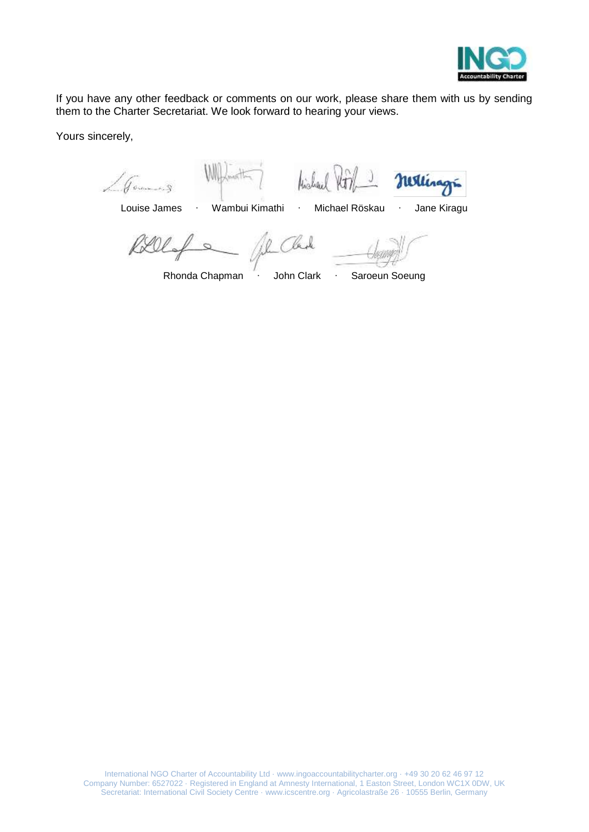

If you have any other feedback or comments on our work, please share them with us by sending them to the Charter Secretariat. We look forward to hearing your views.

Yours sincerely,

Hickord J.

nextinage

Louise James ∙ Wambui Kimathi ∙ Michael Röskau ∙ Jane Kiragu

Rely Il Clark

Rhonda Chapman ∙ John Clark ∙ Saroeun Soeung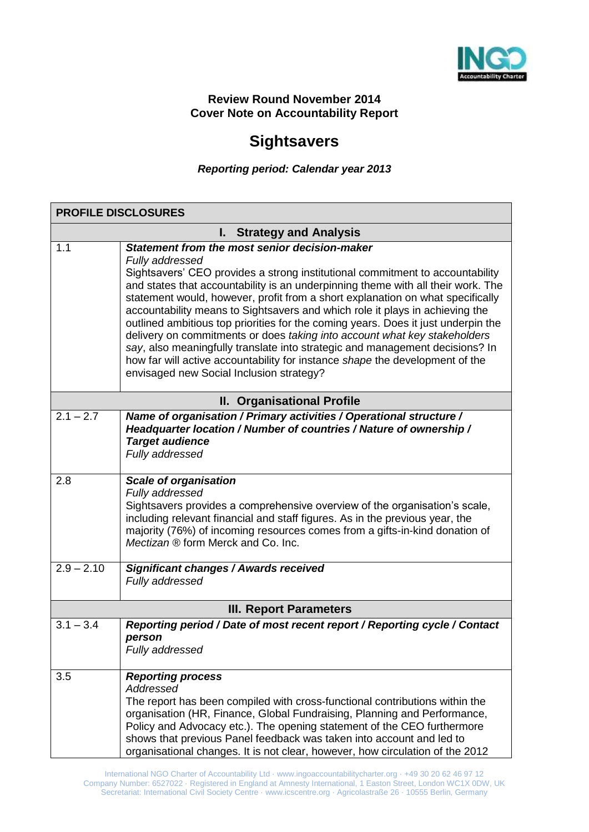

## **Review Round November 2014 Cover Note on Accountability Report**

# **Sightsavers**

## *Reporting period: Calendar year 2013*

|              | <b>PROFILE DISCLOSURES</b>                                                                                                                                                                                                                                                                                                                                                                                                                                                                                                                                                                                                                                                                                                                                                            |
|--------------|---------------------------------------------------------------------------------------------------------------------------------------------------------------------------------------------------------------------------------------------------------------------------------------------------------------------------------------------------------------------------------------------------------------------------------------------------------------------------------------------------------------------------------------------------------------------------------------------------------------------------------------------------------------------------------------------------------------------------------------------------------------------------------------|
|              | I. Strategy and Analysis                                                                                                                                                                                                                                                                                                                                                                                                                                                                                                                                                                                                                                                                                                                                                              |
| 1.1          | Statement from the most senior decision-maker<br>Fully addressed<br>Sightsavers' CEO provides a strong institutional commitment to accountability<br>and states that accountability is an underpinning theme with all their work. The<br>statement would, however, profit from a short explanation on what specifically<br>accountability means to Sightsavers and which role it plays in achieving the<br>outlined ambitious top priorities for the coming years. Does it just underpin the<br>delivery on commitments or does taking into account what key stakeholders<br>say, also meaningfully translate into strategic and management decisions? In<br>how far will active accountability for instance shape the development of the<br>envisaged new Social Inclusion strategy? |
|              | II. Organisational Profile                                                                                                                                                                                                                                                                                                                                                                                                                                                                                                                                                                                                                                                                                                                                                            |
| $2.1 - 2.7$  | Name of organisation / Primary activities / Operational structure /<br>Headquarter location / Number of countries / Nature of ownership /<br><b>Target audience</b><br>Fully addressed                                                                                                                                                                                                                                                                                                                                                                                                                                                                                                                                                                                                |
| 2.8          | <b>Scale of organisation</b><br>Fully addressed<br>Sightsavers provides a comprehensive overview of the organisation's scale,<br>including relevant financial and staff figures. As in the previous year, the<br>majority (76%) of incoming resources comes from a gifts-in-kind donation of<br>Mectizan ® form Merck and Co. Inc.                                                                                                                                                                                                                                                                                                                                                                                                                                                    |
| $2.9 - 2.10$ | <b>Significant changes / Awards received</b><br>Fully addressed                                                                                                                                                                                                                                                                                                                                                                                                                                                                                                                                                                                                                                                                                                                       |
|              | <b>III. Report Parameters</b>                                                                                                                                                                                                                                                                                                                                                                                                                                                                                                                                                                                                                                                                                                                                                         |
| $3.1 - 3.4$  | Reporting period / Date of most recent report / Reporting cycle / Contact<br>person<br>Fully addressed                                                                                                                                                                                                                                                                                                                                                                                                                                                                                                                                                                                                                                                                                |
| 3.5          | <b>Reporting process</b><br>Addressed<br>The report has been compiled with cross-functional contributions within the<br>organisation (HR, Finance, Global Fundraising, Planning and Performance,<br>Policy and Advocacy etc.). The opening statement of the CEO furthermore<br>shows that previous Panel feedback was taken into account and led to<br>organisational changes. It is not clear, however, how circulation of the 2012                                                                                                                                                                                                                                                                                                                                                  |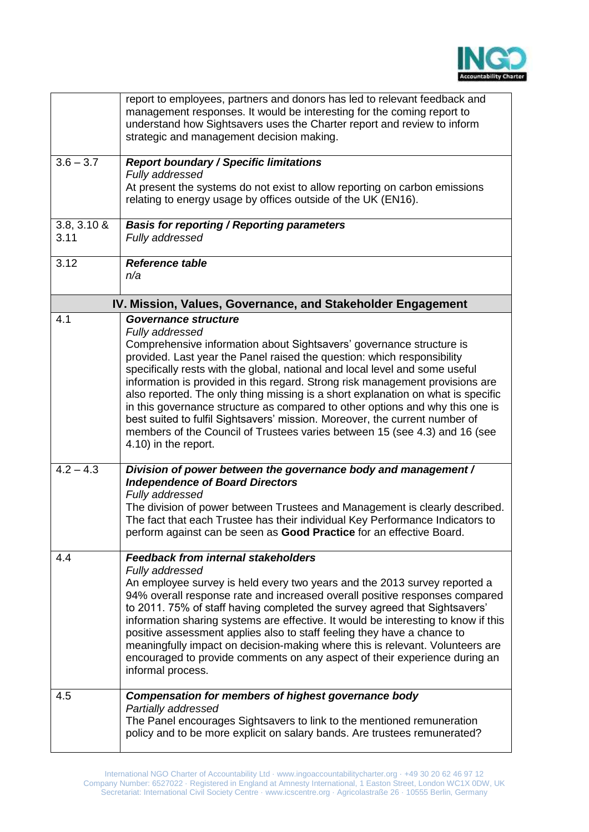

|                        | report to employees, partners and donors has led to relevant feedback and<br>management responses. It would be interesting for the coming report to<br>understand how Sightsavers uses the Charter report and review to inform<br>strategic and management decision making.                                                                                                                                                                                                                                                                                                                                    |
|------------------------|----------------------------------------------------------------------------------------------------------------------------------------------------------------------------------------------------------------------------------------------------------------------------------------------------------------------------------------------------------------------------------------------------------------------------------------------------------------------------------------------------------------------------------------------------------------------------------------------------------------|
| $3.6 - 3.7$            | <b>Report boundary / Specific limitations</b><br>Fully addressed                                                                                                                                                                                                                                                                                                                                                                                                                                                                                                                                               |
|                        | At present the systems do not exist to allow reporting on carbon emissions<br>relating to energy usage by offices outside of the UK (EN16).                                                                                                                                                                                                                                                                                                                                                                                                                                                                    |
| $3.8, 3.10 \&$<br>3.11 | <b>Basis for reporting / Reporting parameters</b><br>Fully addressed                                                                                                                                                                                                                                                                                                                                                                                                                                                                                                                                           |
| 3.12                   | <b>Reference table</b><br>n/a                                                                                                                                                                                                                                                                                                                                                                                                                                                                                                                                                                                  |
|                        | IV. Mission, Values, Governance, and Stakeholder Engagement                                                                                                                                                                                                                                                                                                                                                                                                                                                                                                                                                    |
| 4.1                    | Governance structure<br>Fully addressed                                                                                                                                                                                                                                                                                                                                                                                                                                                                                                                                                                        |
|                        | Comprehensive information about Sightsavers' governance structure is<br>provided. Last year the Panel raised the question: which responsibility<br>specifically rests with the global, national and local level and some useful<br>information is provided in this regard. Strong risk management provisions are<br>also reported. The only thing missing is a short explanation on what is specific                                                                                                                                                                                                           |
|                        | in this governance structure as compared to other options and why this one is<br>best suited to fulfil Sightsavers' mission. Moreover, the current number of<br>members of the Council of Trustees varies between 15 (see 4.3) and 16 (see<br>4.10) in the report.                                                                                                                                                                                                                                                                                                                                             |
| $\overline{4.2 - 4.3}$ | Division of power between the governance body and management /<br><b>Independence of Board Directors</b>                                                                                                                                                                                                                                                                                                                                                                                                                                                                                                       |
|                        | Fully addressed<br>The division of power between Trustees and Management is clearly described.<br>The fact that each Trustee has their individual Key Performance Indicators to<br>perform against can be seen as Good Practice for an effective Board.                                                                                                                                                                                                                                                                                                                                                        |
| 4.4                    | <b>Feedback from internal stakeholders</b>                                                                                                                                                                                                                                                                                                                                                                                                                                                                                                                                                                     |
|                        | Fully addressed<br>An employee survey is held every two years and the 2013 survey reported a<br>94% overall response rate and increased overall positive responses compared<br>to 2011. 75% of staff having completed the survey agreed that Sightsavers'<br>information sharing systems are effective. It would be interesting to know if this<br>positive assessment applies also to staff feeling they have a chance to<br>meaningfully impact on decision-making where this is relevant. Volunteers are<br>encouraged to provide comments on any aspect of their experience during an<br>informal process. |
| 4.5                    | <b>Compensation for members of highest governance body</b><br>Partially addressed<br>The Panel encourages Sightsavers to link to the mentioned remuneration<br>policy and to be more explicit on salary bands. Are trustees remunerated?                                                                                                                                                                                                                                                                                                                                                                       |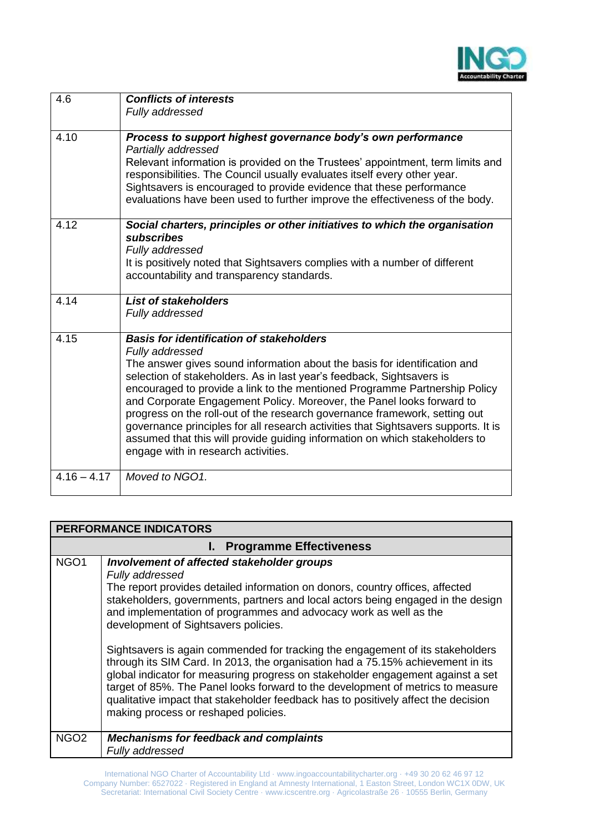

| 4.6           | <b>Conflicts of interests</b><br>Fully addressed                                                                                                                                                                                                                                                                                                                                                                                                                                                                                                                                                                                                                          |
|---------------|---------------------------------------------------------------------------------------------------------------------------------------------------------------------------------------------------------------------------------------------------------------------------------------------------------------------------------------------------------------------------------------------------------------------------------------------------------------------------------------------------------------------------------------------------------------------------------------------------------------------------------------------------------------------------|
| 4.10          | Process to support highest governance body's own performance<br>Partially addressed<br>Relevant information is provided on the Trustees' appointment, term limits and<br>responsibilities. The Council usually evaluates itself every other year.<br>Sightsavers is encouraged to provide evidence that these performance<br>evaluations have been used to further improve the effectiveness of the body.                                                                                                                                                                                                                                                                 |
| 4.12          | Social charters, principles or other initiatives to which the organisation<br>subscribes<br>Fully addressed<br>It is positively noted that Sightsavers complies with a number of different<br>accountability and transparency standards.                                                                                                                                                                                                                                                                                                                                                                                                                                  |
| 4.14          | <b>List of stakeholders</b><br>Fully addressed                                                                                                                                                                                                                                                                                                                                                                                                                                                                                                                                                                                                                            |
| 4.15          | <b>Basis for identification of stakeholders</b><br>Fully addressed<br>The answer gives sound information about the basis for identification and<br>selection of stakeholders. As in last year's feedback, Sightsavers is<br>encouraged to provide a link to the mentioned Programme Partnership Policy<br>and Corporate Engagement Policy. Moreover, the Panel looks forward to<br>progress on the roll-out of the research governance framework, setting out<br>governance principles for all research activities that Sightsavers supports. It is<br>assumed that this will provide guiding information on which stakeholders to<br>engage with in research activities. |
| $4.16 - 4.17$ | Moved to NGO1.                                                                                                                                                                                                                                                                                                                                                                                                                                                                                                                                                                                                                                                            |

|                  | <b>PERFORMANCE INDICATORS</b>                                                                                                                                                                                                                                                                                                                                                                                                                                                                                                                                                                                                                                                                                                                                                                                            |  |  |  |
|------------------|--------------------------------------------------------------------------------------------------------------------------------------------------------------------------------------------------------------------------------------------------------------------------------------------------------------------------------------------------------------------------------------------------------------------------------------------------------------------------------------------------------------------------------------------------------------------------------------------------------------------------------------------------------------------------------------------------------------------------------------------------------------------------------------------------------------------------|--|--|--|
|                  | I. Programme Effectiveness                                                                                                                                                                                                                                                                                                                                                                                                                                                                                                                                                                                                                                                                                                                                                                                               |  |  |  |
| NGO <sub>1</sub> | Involvement of affected stakeholder groups<br>Fully addressed<br>The report provides detailed information on donors, country offices, affected<br>stakeholders, governments, partners and local actors being engaged in the design<br>and implementation of programmes and advocacy work as well as the<br>development of Sightsavers policies.<br>Sightsavers is again commended for tracking the engagement of its stakeholders<br>through its SIM Card. In 2013, the organisation had a 75.15% achievement in its<br>global indicator for measuring progress on stakeholder engagement against a set<br>target of 85%. The Panel looks forward to the development of metrics to measure<br>qualitative impact that stakeholder feedback has to positively affect the decision<br>making process or reshaped policies. |  |  |  |
| NGO <sub>2</sub> | <b>Mechanisms for feedback and complaints</b><br>Fully addressed                                                                                                                                                                                                                                                                                                                                                                                                                                                                                                                                                                                                                                                                                                                                                         |  |  |  |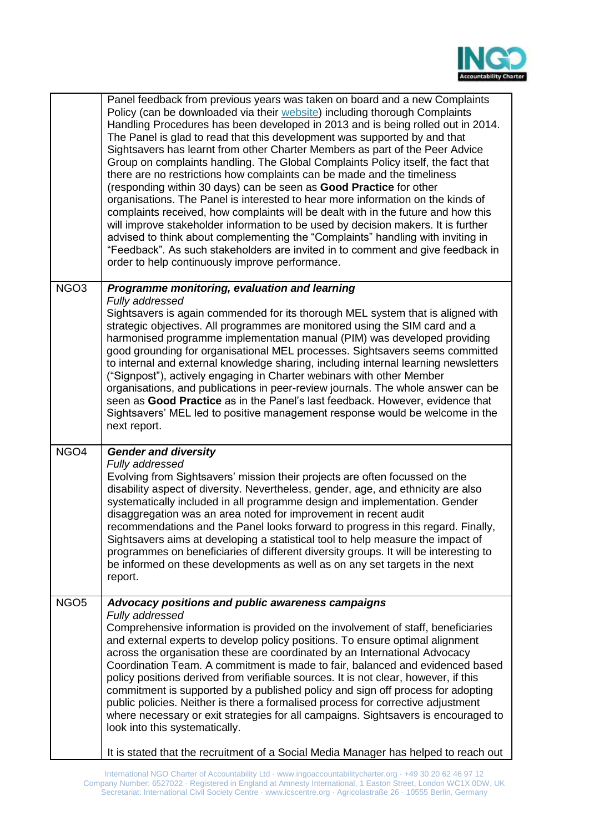

|                  | Panel feedback from previous years was taken on board and a new Complaints<br>Policy (can be downloaded via their website) including thorough Complaints<br>Handling Procedures has been developed in 2013 and is being rolled out in 2014.<br>The Panel is glad to read that this development was supported by and that<br>Sightsavers has learnt from other Charter Members as part of the Peer Advice<br>Group on complaints handling. The Global Complaints Policy itself, the fact that<br>there are no restrictions how complaints can be made and the timeliness<br>(responding within 30 days) can be seen as Good Practice for other<br>organisations. The Panel is interested to hear more information on the kinds of<br>complaints received, how complaints will be dealt with in the future and how this<br>will improve stakeholder information to be used by decision makers. It is further<br>advised to think about complementing the "Complaints" handling with inviting in<br>"Feedback". As such stakeholders are invited in to comment and give feedback in<br>order to help continuously improve performance. |
|------------------|-------------------------------------------------------------------------------------------------------------------------------------------------------------------------------------------------------------------------------------------------------------------------------------------------------------------------------------------------------------------------------------------------------------------------------------------------------------------------------------------------------------------------------------------------------------------------------------------------------------------------------------------------------------------------------------------------------------------------------------------------------------------------------------------------------------------------------------------------------------------------------------------------------------------------------------------------------------------------------------------------------------------------------------------------------------------------------------------------------------------------------------|
| NGO <sub>3</sub> | Programme monitoring, evaluation and learning<br>Fully addressed<br>Sightsavers is again commended for its thorough MEL system that is aligned with<br>strategic objectives. All programmes are monitored using the SIM card and a<br>harmonised programme implementation manual (PIM) was developed providing<br>good grounding for organisational MEL processes. Sightsavers seems committed<br>to internal and external knowledge sharing, including internal learning newsletters<br>("Signpost"), actively engaging in Charter webinars with other Member<br>organisations, and publications in peer-review journals. The whole answer can be<br>seen as Good Practice as in the Panel's last feedback. However, evidence that<br>Sightsavers' MEL led to positive management response would be welcome in the<br>next report.                                                                                                                                                                                                                                                                                                 |
| NGO4             | <b>Gender and diversity</b><br>Fully addressed<br>Evolving from Sightsavers' mission their projects are often focussed on the<br>disability aspect of diversity. Nevertheless, gender, age, and ethnicity are also<br>systematically included in all programme design and implementation. Gender<br>disaggregation was an area noted for improvement in recent audit<br>recommendations and the Panel looks forward to progress in this regard. Finally,<br>Sightsavers aims at developing a statistical tool to help measure the impact of<br>programmes on beneficiaries of different diversity groups. It will be interesting to<br>be informed on these developments as well as on any set targets in the next<br>report.                                                                                                                                                                                                                                                                                                                                                                                                       |
| NGO <sub>5</sub> | Advocacy positions and public awareness campaigns<br>Fully addressed<br>Comprehensive information is provided on the involvement of staff, beneficiaries<br>and external experts to develop policy positions. To ensure optimal alignment<br>across the organisation these are coordinated by an International Advocacy<br>Coordination Team. A commitment is made to fair, balanced and evidenced based<br>policy positions derived from verifiable sources. It is not clear, however, if this<br>commitment is supported by a published policy and sign off process for adopting<br>public policies. Neither is there a formalised process for corrective adjustment<br>where necessary or exit strategies for all campaigns. Sightsavers is encouraged to<br>look into this systematically.<br>It is stated that the recruitment of a Social Media Manager has helped to reach out                                                                                                                                                                                                                                               |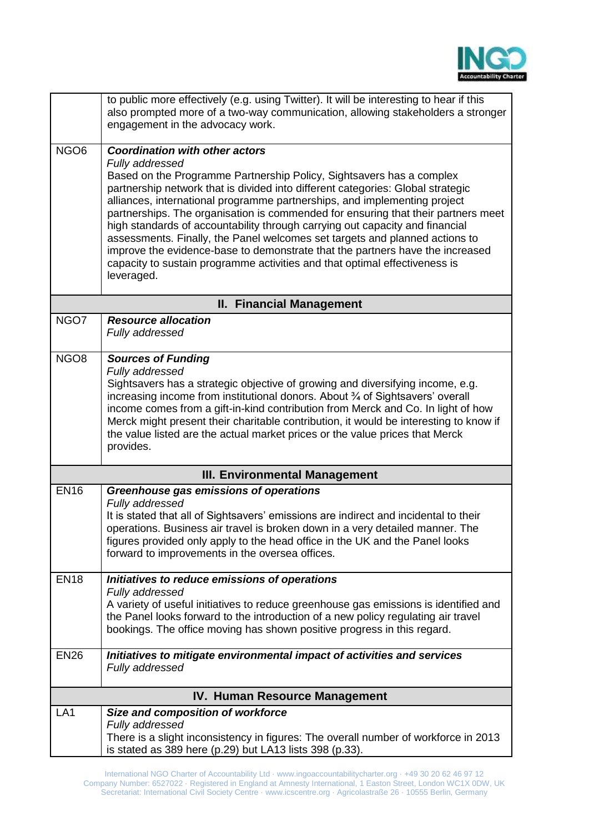

|                          | to public more effectively (e.g. using Twitter). It will be interesting to hear if this<br>also prompted more of a two-way communication, allowing stakeholders a stronger<br>engagement in the advocacy work.                                                                                                                                                                                                                                                                                                                                                                                                                                                                                                                    |
|--------------------------|-----------------------------------------------------------------------------------------------------------------------------------------------------------------------------------------------------------------------------------------------------------------------------------------------------------------------------------------------------------------------------------------------------------------------------------------------------------------------------------------------------------------------------------------------------------------------------------------------------------------------------------------------------------------------------------------------------------------------------------|
| $\overline{\text{NGO6}}$ | <b>Coordination with other actors</b><br>Fully addressed<br>Based on the Programme Partnership Policy, Sightsavers has a complex<br>partnership network that is divided into different categories: Global strategic<br>alliances, international programme partnerships, and implementing project<br>partnerships. The organisation is commended for ensuring that their partners meet<br>high standards of accountability through carrying out capacity and financial<br>assessments. Finally, the Panel welcomes set targets and planned actions to<br>improve the evidence-base to demonstrate that the partners have the increased<br>capacity to sustain programme activities and that optimal effectiveness is<br>leveraged. |
|                          | <b>II. Financial Management</b>                                                                                                                                                                                                                                                                                                                                                                                                                                                                                                                                                                                                                                                                                                   |
| NGO7                     | <b>Resource allocation</b><br>Fully addressed                                                                                                                                                                                                                                                                                                                                                                                                                                                                                                                                                                                                                                                                                     |
| NGO <sub>8</sub>         | <b>Sources of Funding</b><br>Fully addressed<br>Sightsavers has a strategic objective of growing and diversifying income, e.g.<br>increasing income from institutional donors. About 3⁄4 of Sightsavers' overall<br>income comes from a gift-in-kind contribution from Merck and Co. In light of how<br>Merck might present their charitable contribution, it would be interesting to know if<br>the value listed are the actual market prices or the value prices that Merck<br>provides.                                                                                                                                                                                                                                        |
|                          | <b>III. Environmental Management</b>                                                                                                                                                                                                                                                                                                                                                                                                                                                                                                                                                                                                                                                                                              |
| <b>EN16</b>              | Greenhouse gas emissions of operations<br>Fully addressed<br>It is stated that all of Sightsavers' emissions are indirect and incidental to their<br>operations. Business air travel is broken down in a very detailed manner. The<br>figures provided only apply to the head office in the UK and the Panel looks<br>forward to improvements in the oversea offices.                                                                                                                                                                                                                                                                                                                                                             |
| <b>EN18</b>              | Initiatives to reduce emissions of operations<br>Fully addressed<br>A variety of useful initiatives to reduce greenhouse gas emissions is identified and<br>the Panel looks forward to the introduction of a new policy regulating air travel<br>bookings. The office moving has shown positive progress in this regard.                                                                                                                                                                                                                                                                                                                                                                                                          |
| <b>EN26</b>              | Initiatives to mitigate environmental impact of activities and services<br>Fully addressed                                                                                                                                                                                                                                                                                                                                                                                                                                                                                                                                                                                                                                        |
|                          | <b>IV. Human Resource Management</b>                                                                                                                                                                                                                                                                                                                                                                                                                                                                                                                                                                                                                                                                                              |
| LA <sub>1</sub>          | Size and composition of workforce<br>Fully addressed<br>There is a slight inconsistency in figures: The overall number of workforce in 2013<br>is stated as 389 here (p.29) but LA13 lists 398 (p.33).                                                                                                                                                                                                                                                                                                                                                                                                                                                                                                                            |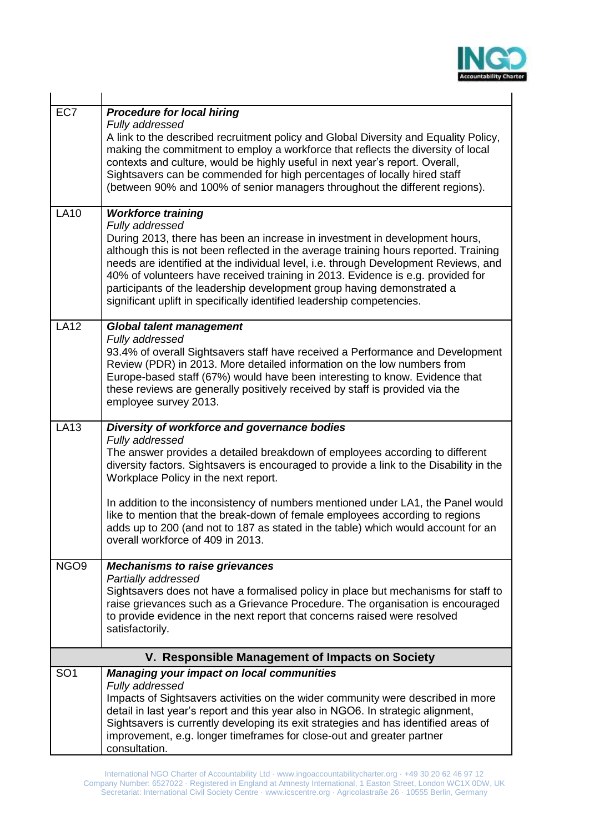

| EC7              | <b>Procedure for local hiring</b><br>Fully addressed<br>A link to the described recruitment policy and Global Diversity and Equality Policy,<br>making the commitment to employ a workforce that reflects the diversity of local<br>contexts and culture, would be highly useful in next year's report. Overall,<br>Sightsavers can be commended for high percentages of locally hired staff<br>(between 90% and 100% of senior managers throughout the different regions).                                                                                                      |  |  |  |
|------------------|----------------------------------------------------------------------------------------------------------------------------------------------------------------------------------------------------------------------------------------------------------------------------------------------------------------------------------------------------------------------------------------------------------------------------------------------------------------------------------------------------------------------------------------------------------------------------------|--|--|--|
| <b>LA10</b>      | <b>Workforce training</b><br>Fully addressed<br>During 2013, there has been an increase in investment in development hours,<br>although this is not been reflected in the average training hours reported. Training<br>needs are identified at the individual level, i.e. through Development Reviews, and<br>40% of volunteers have received training in 2013. Evidence is e.g. provided for<br>participants of the leadership development group having demonstrated a<br>significant uplift in specifically identified leadership competencies.                                |  |  |  |
| <b>LA12</b>      | <b>Global talent management</b><br>Fully addressed<br>93.4% of overall Sightsavers staff have received a Performance and Development<br>Review (PDR) in 2013. More detailed information on the low numbers from<br>Europe-based staff (67%) would have been interesting to know. Evidence that<br>these reviews are generally positively received by staff is provided via the<br>employee survey 2013.                                                                                                                                                                          |  |  |  |
| <b>LA13</b>      | Diversity of workforce and governance bodies<br>Fully addressed<br>The answer provides a detailed breakdown of employees according to different<br>diversity factors. Sightsavers is encouraged to provide a link to the Disability in the<br>Workplace Policy in the next report.<br>In addition to the inconsistency of numbers mentioned under LA1, the Panel would<br>like to mention that the break-down of female employees according to regions<br>adds up to 200 (and not to 187 as stated in the table) which would account for an<br>overall workforce of 409 in 2013. |  |  |  |
| NGO <sub>9</sub> | <b>Mechanisms to raise grievances</b><br>Partially addressed<br>Sightsavers does not have a formalised policy in place but mechanisms for staff to<br>raise grievances such as a Grievance Procedure. The organisation is encouraged<br>to provide evidence in the next report that concerns raised were resolved<br>satisfactorily.                                                                                                                                                                                                                                             |  |  |  |
|                  | V. Responsible Management of Impacts on Society                                                                                                                                                                                                                                                                                                                                                                                                                                                                                                                                  |  |  |  |
| SO <sub>1</sub>  | <b>Managing your impact on local communities</b><br>Fully addressed<br>Impacts of Sightsavers activities on the wider community were described in more<br>detail in last year's report and this year also in NGO6. In strategic alignment,<br>Sightsavers is currently developing its exit strategies and has identified areas of<br>improvement, e.g. longer timeframes for close-out and greater partner<br>consultation.                                                                                                                                                      |  |  |  |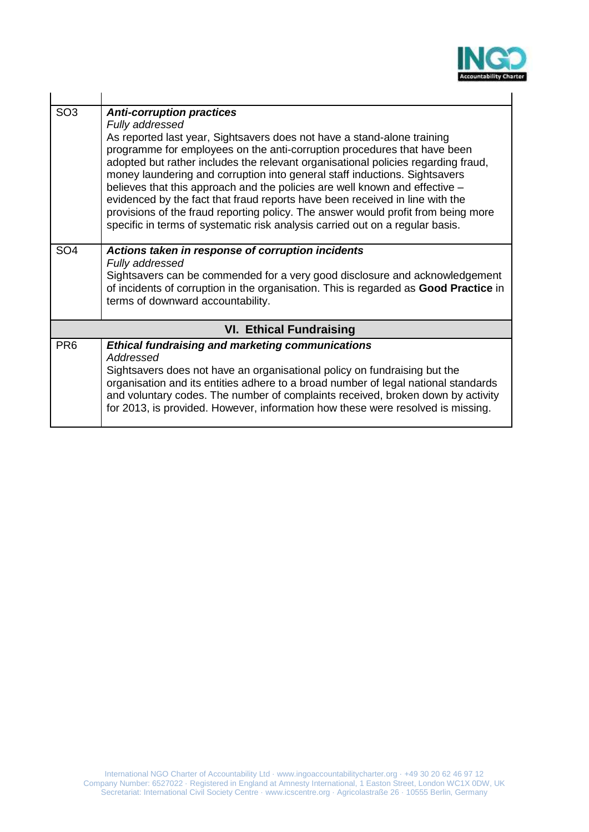

| SO <sub>3</sub> | <b>Anti-corruption practices</b><br>Fully addressed<br>As reported last year, Sightsavers does not have a stand-alone training<br>programme for employees on the anti-corruption procedures that have been<br>adopted but rather includes the relevant organisational policies regarding fraud,<br>money laundering and corruption into general staff inductions. Sightsavers<br>believes that this approach and the policies are well known and effective -<br>evidenced by the fact that fraud reports have been received in line with the<br>provisions of the fraud reporting policy. The answer would profit from being more<br>specific in terms of systematic risk analysis carried out on a regular basis. |
|-----------------|--------------------------------------------------------------------------------------------------------------------------------------------------------------------------------------------------------------------------------------------------------------------------------------------------------------------------------------------------------------------------------------------------------------------------------------------------------------------------------------------------------------------------------------------------------------------------------------------------------------------------------------------------------------------------------------------------------------------|
| SO <sub>4</sub> | Actions taken in response of corruption incidents<br>Fully addressed<br>Sightsavers can be commended for a very good disclosure and acknowledgement<br>of incidents of corruption in the organisation. This is regarded as Good Practice in<br>terms of downward accountability.                                                                                                                                                                                                                                                                                                                                                                                                                                   |
|                 | <b>VI. Ethical Fundraising</b>                                                                                                                                                                                                                                                                                                                                                                                                                                                                                                                                                                                                                                                                                     |
| PR <sub>6</sub> | <b>Ethical fundraising and marketing communications</b><br>Addressed<br>Sightsavers does not have an organisational policy on fundraising but the<br>organisation and its entities adhere to a broad number of legal national standards<br>and voluntary codes. The number of complaints received, broken down by activity<br>for 2013, is provided. However, information how these were resolved is missing.                                                                                                                                                                                                                                                                                                      |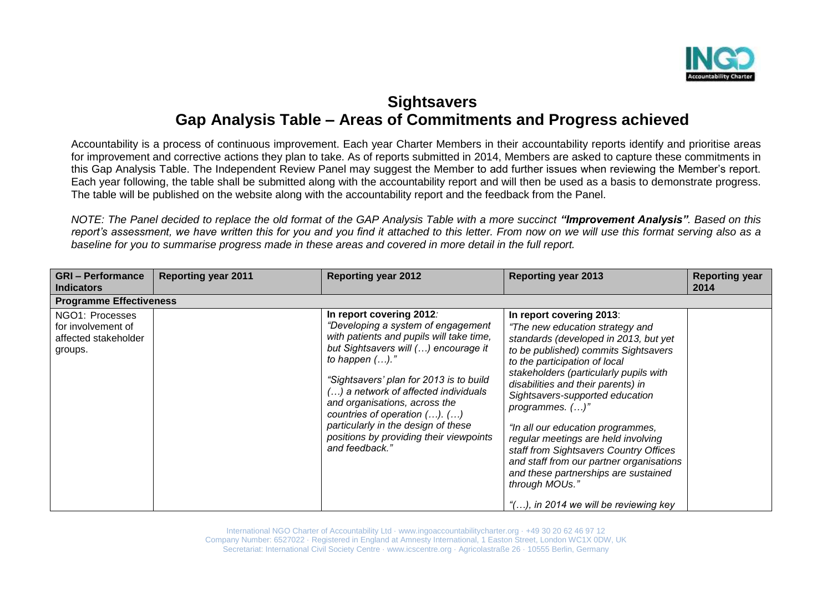

# **Sightsavers Gap Analysis Table – Areas of Commitments and Progress achieved**

Accountability is a process of continuous improvement. Each year Charter Members in their accountability reports identify and prioritise areas for improvement and corrective actions they plan to take. As of reports submitted in 2014, Members are asked to capture these commitments in this Gap Analysis Table. The Independent Review Panel may suggest the Member to add further issues when reviewing the Member's report. Each year following, the table shall be submitted along with the accountability report and will then be used as a basis to demonstrate progress. The table will be published on the website along with the accountability report and the feedback from the Panel.

*NOTE: The Panel decided to replace the old format of the GAP Analysis Table with a more succinct "Improvement Analysis". Based on this report's assessment, we have written this for you and you find it attached to this letter. From now on we will use this format serving also as a baseline for you to summarise progress made in these areas and covered in more detail in the full report.* 

| <b>Reporting year 2011</b>     | <b>Reporting year 2012</b>                                                                                                                                                                                                                                                                                                                                                                                                            | <b>Reporting year 2013</b>                                                                                                                                                                                                                                                                                                                                                                                                                                                                                                                         | <b>Reporting year</b><br>2014         |
|--------------------------------|---------------------------------------------------------------------------------------------------------------------------------------------------------------------------------------------------------------------------------------------------------------------------------------------------------------------------------------------------------------------------------------------------------------------------------------|----------------------------------------------------------------------------------------------------------------------------------------------------------------------------------------------------------------------------------------------------------------------------------------------------------------------------------------------------------------------------------------------------------------------------------------------------------------------------------------------------------------------------------------------------|---------------------------------------|
| <b>Programme Effectiveness</b> |                                                                                                                                                                                                                                                                                                                                                                                                                                       |                                                                                                                                                                                                                                                                                                                                                                                                                                                                                                                                                    |                                       |
|                                | In report covering 2012:<br>"Developing a system of engagement<br>with patients and pupils will take time,<br>but Sightsavers will () encourage it<br>to happen $().$ "<br>"Sightsavers' plan for 2013 is to build<br>() a network of affected individuals<br>and organisations, across the<br>countries of operation $()$ . $()$<br>particularly in the design of these<br>positions by providing their viewpoints<br>and feedback." | In report covering 2013:<br>"The new education strategy and<br>standards (developed in 2013, but yet<br>to be published) commits Sightsavers<br>to the participation of local<br>stakeholders (particularly pupils with<br>disabilities and their parents) in<br>Sightsavers-supported education<br>programmes. $()$ "<br>"In all our education programmes,<br>regular meetings are held involving<br>staff from Sightsavers Country Offices<br>and staff from our partner organisations<br>and these partnerships are sustained<br>through MOUs." |                                       |
|                                |                                                                                                                                                                                                                                                                                                                                                                                                                                       |                                                                                                                                                                                                                                                                                                                                                                                                                                                                                                                                                    | "(), in 2014 we will be reviewing key |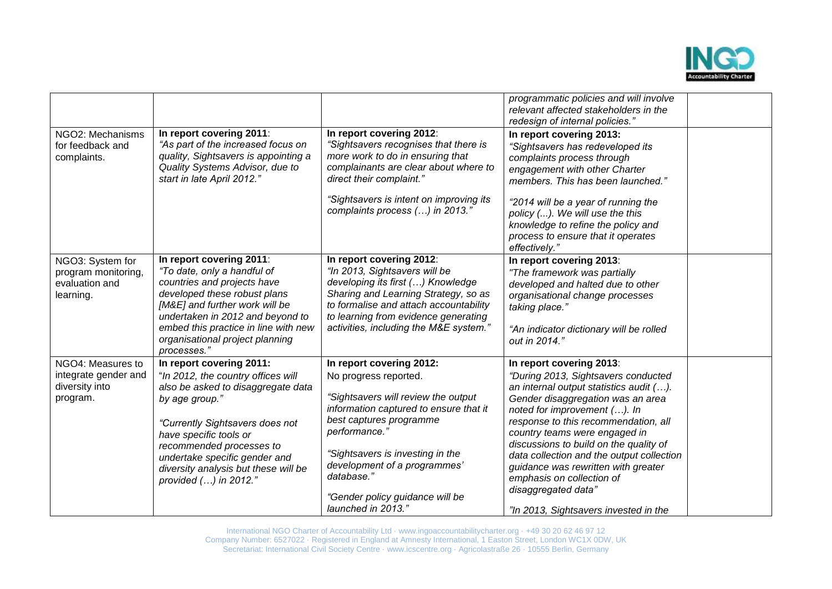

|                                                                         |                                                                                                                                                                                                                                                                                                                   |                                                                                                                                                                                                                                                                                                                           | programmatic policies and will involve<br>relevant affected stakeholders in the<br>redesign of internal policies.'                                                                                                                                                                                                                                                                                                                                                                  |  |
|-------------------------------------------------------------------------|-------------------------------------------------------------------------------------------------------------------------------------------------------------------------------------------------------------------------------------------------------------------------------------------------------------------|---------------------------------------------------------------------------------------------------------------------------------------------------------------------------------------------------------------------------------------------------------------------------------------------------------------------------|-------------------------------------------------------------------------------------------------------------------------------------------------------------------------------------------------------------------------------------------------------------------------------------------------------------------------------------------------------------------------------------------------------------------------------------------------------------------------------------|--|
| NGO2: Mechanisms<br>for feedback and<br>complaints.                     | In report covering 2011:<br>"As part of the increased focus on<br>quality, Sightsavers is appointing a<br>Quality Systems Advisor, due to<br>start in late April 2012."                                                                                                                                           | In report covering 2012:<br>"Sightsavers recognises that there is<br>more work to do in ensuring that<br>complainants are clear about where to<br>direct their complaint."<br>"Sightsavers is intent on improving its<br>complaints process () in 2013."                                                                  | In report covering 2013:<br>"Sightsavers has redeveloped its<br>complaints process through<br>engagement with other Charter<br>members. This has been launched."<br>"2014 will be a year of running the<br>policy (). We will use the this<br>knowledge to refine the policy and                                                                                                                                                                                                    |  |
|                                                                         |                                                                                                                                                                                                                                                                                                                   |                                                                                                                                                                                                                                                                                                                           | process to ensure that it operates<br>effectively."                                                                                                                                                                                                                                                                                                                                                                                                                                 |  |
| NGO3: System for<br>program monitoring,<br>evaluation and<br>learning.  | In report covering 2011:<br>"To date, only a handful of<br>countries and projects have<br>developed these robust plans<br>[M&E] and further work will be<br>undertaken in 2012 and beyond to<br>embed this practice in line with new<br>organisational project planning<br>processes."                            | In report covering 2012:<br>"In 2013, Sightsavers will be<br>developing its first () Knowledge<br>Sharing and Learning Strategy, so as<br>to formalise and attach accountability<br>to learning from evidence generating<br>activities, including the M&E system."                                                        | In report covering 2013:<br>"The framework was partially<br>developed and halted due to other<br>organisational change processes<br>taking place."<br>"An indicator dictionary will be rolled<br>out in 2014."                                                                                                                                                                                                                                                                      |  |
| NGO4: Measures to<br>integrate gender and<br>diversity into<br>program. | In report covering 2011:<br>"In 2012, the country offices will<br>also be asked to disaggregate data<br>by age group."<br>"Currently Sightsavers does not<br>have specific tools or<br>recommended processes to<br>undertake specific gender and<br>diversity analysis but these will be<br>provided () in 2012." | In report covering 2012:<br>No progress reported.<br>"Sightsavers will review the output<br>information captured to ensure that it<br>best captures programme<br>performance."<br>"Sightsavers is investing in the<br>development of a programmes'<br>database."<br>"Gender policy guidance will be<br>launched in 2013." | In report covering 2013:<br>"During 2013, Sightsavers conducted<br>an internal output statistics audit ().<br>Gender disaggregation was an area<br>noted for improvement (). In<br>response to this recommendation, all<br>country teams were engaged in<br>discussions to build on the quality of<br>data collection and the output collection<br>guidance was rewritten with greater<br>emphasis on collection of<br>disaggregated data"<br>"In 2013, Sightsavers invested in the |  |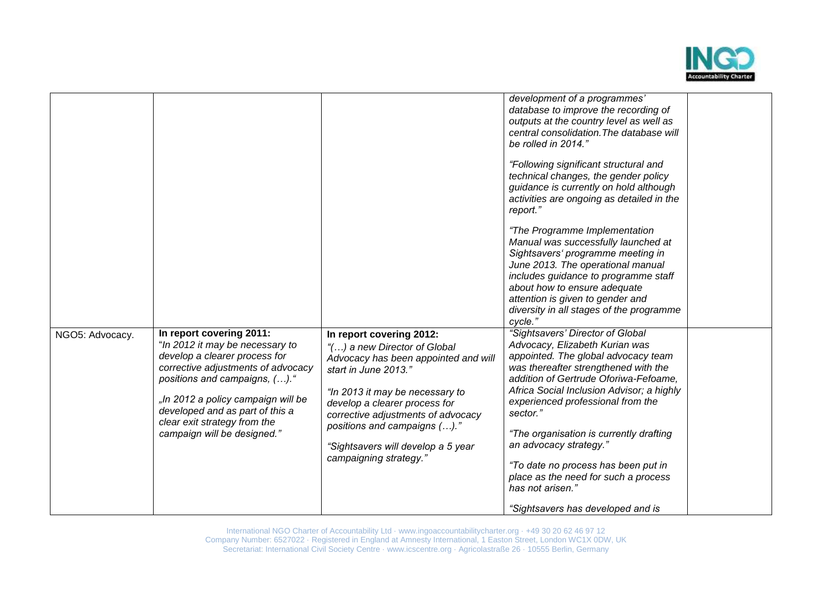

|                 |                                                                                                                                                                                                                                                                                                             |                                                                                                                                                                                                                                                                                                                                    | development of a programmes'<br>database to improve the recording of<br>outputs at the country level as well as<br>central consolidation. The database will<br>be rolled in 2014."<br>"Following significant structural and<br>technical changes, the gender policy<br>guidance is currently on hold although<br>activities are ongoing as detailed in the<br>report."<br>"The Programme Implementation<br>Manual was successfully launched at<br>Sightsavers' programme meeting in<br>June 2013. The operational manual<br>includes guidance to programme staff<br>about how to ensure adequate<br>attention is given to gender and<br>diversity in all stages of the programme<br>cycle." |  |
|-----------------|-------------------------------------------------------------------------------------------------------------------------------------------------------------------------------------------------------------------------------------------------------------------------------------------------------------|------------------------------------------------------------------------------------------------------------------------------------------------------------------------------------------------------------------------------------------------------------------------------------------------------------------------------------|---------------------------------------------------------------------------------------------------------------------------------------------------------------------------------------------------------------------------------------------------------------------------------------------------------------------------------------------------------------------------------------------------------------------------------------------------------------------------------------------------------------------------------------------------------------------------------------------------------------------------------------------------------------------------------------------|--|
| NGO5: Advocacy. | In report covering 2011:<br>"In 2012 it may be necessary to<br>develop a clearer process for<br>corrective adjustments of advocacy<br>positions and campaigns, ()."<br>"In 2012 a policy campaign will be<br>developed and as part of this a<br>clear exit strategy from the<br>campaign will be designed." | In report covering 2012:<br>"() a new Director of Global<br>Advocacy has been appointed and will<br>start in June 2013."<br>"In 2013 it may be necessary to<br>develop a clearer process for<br>corrective adjustments of advocacy<br>positions and campaigns ()."<br>"Sightsavers will develop a 5 year<br>campaigning strategy." | "Sightsavers' Director of Global<br>Advocacy, Elizabeth Kurian was<br>appointed. The global advocacy team<br>was thereafter strengthened with the<br>addition of Gertrude Oforiwa-Fefoame,<br>Africa Social Inclusion Advisor; a highly<br>experienced professional from the<br>sector."<br>"The organisation is currently drafting<br>an advocacy strategy."<br>"To date no process has been put in<br>place as the need for such a process<br>has not arisen."<br>"Sightsavers has developed and is                                                                                                                                                                                       |  |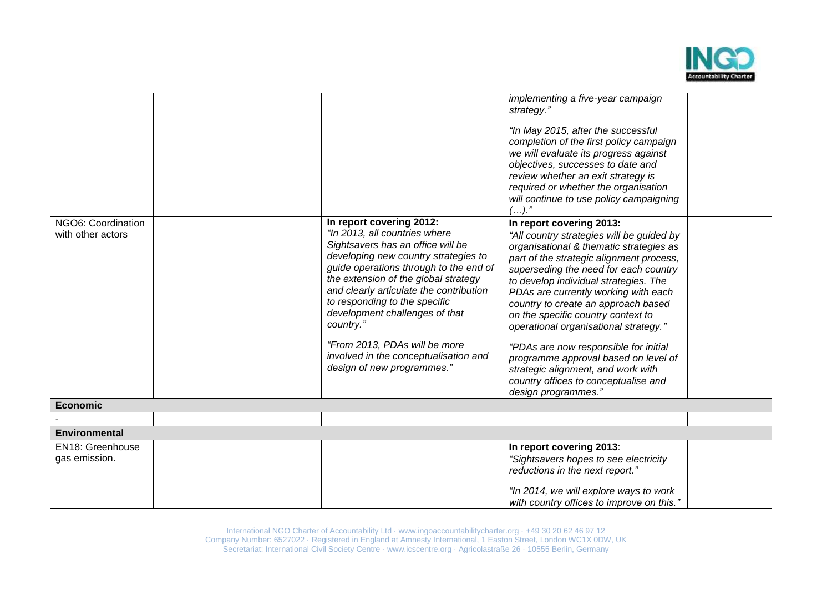

| NGO6: Coordination<br>with other actors | In report covering 2012:<br>"In 2013, all countries where<br>Sightsavers has an office will be<br>developing new country strategies to<br>guide operations through to the end of<br>the extension of the global strategy<br>and clearly articulate the contribution<br>to responding to the specific<br>development challenges of that<br>country." | implementing a five-year campaign<br>strategy."<br>"In May 2015, after the successful<br>completion of the first policy campaign<br>we will evaluate its progress against<br>objectives, successes to date and<br>review whether an exit strategy is<br>required or whether the organisation<br>will continue to use policy campaigning<br>$().$ "<br>In report covering 2013:<br>"All country strategies will be guided by<br>organisational & thematic strategies as<br>part of the strategic alignment process,<br>superseding the need for each country<br>to develop individual strategies. The<br>PDAs are currently working with each<br>country to create an approach based<br>on the specific country context to<br>operational organisational strategy." |  |
|-----------------------------------------|-----------------------------------------------------------------------------------------------------------------------------------------------------------------------------------------------------------------------------------------------------------------------------------------------------------------------------------------------------|--------------------------------------------------------------------------------------------------------------------------------------------------------------------------------------------------------------------------------------------------------------------------------------------------------------------------------------------------------------------------------------------------------------------------------------------------------------------------------------------------------------------------------------------------------------------------------------------------------------------------------------------------------------------------------------------------------------------------------------------------------------------|--|
|                                         | "From 2013, PDAs will be more<br>involved in the conceptualisation and<br>design of new programmes."                                                                                                                                                                                                                                                | "PDAs are now responsible for initial<br>programme approval based on level of<br>strategic alignment, and work with<br>country offices to conceptualise and<br>design programmes."                                                                                                                                                                                                                                                                                                                                                                                                                                                                                                                                                                                 |  |
| <b>Economic</b>                         |                                                                                                                                                                                                                                                                                                                                                     |                                                                                                                                                                                                                                                                                                                                                                                                                                                                                                                                                                                                                                                                                                                                                                    |  |
|                                         |                                                                                                                                                                                                                                                                                                                                                     |                                                                                                                                                                                                                                                                                                                                                                                                                                                                                                                                                                                                                                                                                                                                                                    |  |
| <b>Environmental</b>                    |                                                                                                                                                                                                                                                                                                                                                     |                                                                                                                                                                                                                                                                                                                                                                                                                                                                                                                                                                                                                                                                                                                                                                    |  |
| EN18: Greenhouse<br>gas emission.       |                                                                                                                                                                                                                                                                                                                                                     | In report covering 2013:<br>"Sightsavers hopes to see electricity<br>reductions in the next report."                                                                                                                                                                                                                                                                                                                                                                                                                                                                                                                                                                                                                                                               |  |
|                                         |                                                                                                                                                                                                                                                                                                                                                     | "In 2014, we will explore ways to work<br>with country offices to improve on this."                                                                                                                                                                                                                                                                                                                                                                                                                                                                                                                                                                                                                                                                                |  |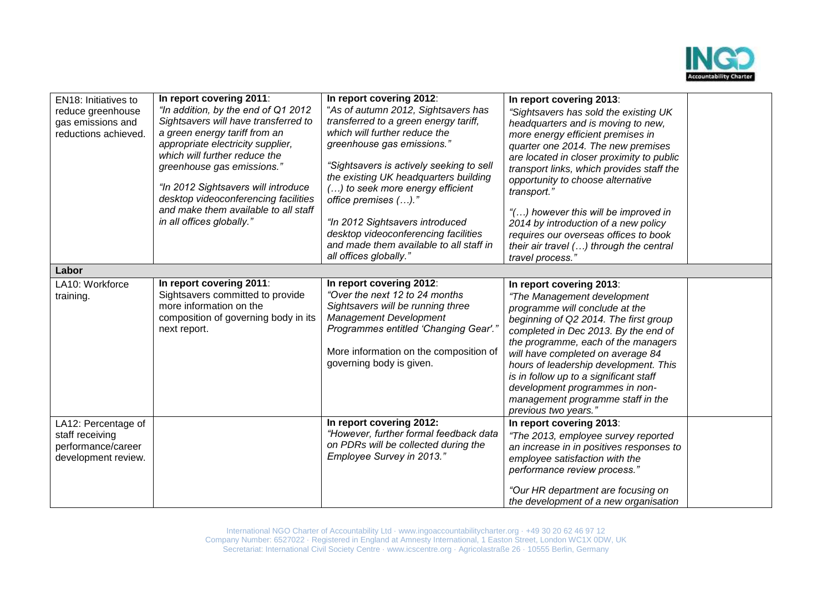

| EN18: Initiatives to<br>reduce greenhouse<br>gas emissions and<br>reductions achieved. | In report covering 2011:<br>"In addition, by the end of Q1 2012<br>Sightsavers will have transferred to<br>a green energy tariff from an<br>appropriate electricity supplier,<br>which will further reduce the<br>greenhouse gas emissions."<br>"In 2012 Sightsavers will introduce<br>desktop videoconferencing facilities<br>and make them available to all staff<br>in all offices globally." | In report covering 2012:<br>"As of autumn 2012, Sightsavers has<br>transferred to a green energy tariff,<br>which will further reduce the<br>greenhouse gas emissions."<br>"Sightsavers is actively seeking to sell<br>the existing UK headquarters building<br>() to seek more energy efficient<br>office premises ()."<br>"In 2012 Sightsavers introduced<br>desktop videoconferencing facilities<br>and made them available to all staff in<br>all offices globally." | In report covering 2013:<br>"Sightsavers has sold the existing UK<br>headquarters and is moving to new,<br>more energy efficient premises in<br>quarter one 2014. The new premises<br>are located in closer proximity to public<br>transport links, which provides staff the<br>opportunity to choose alternative<br>transport."<br>"() however this will be improved in<br>2014 by introduction of a new policy<br>requires our overseas offices to book<br>their air travel () through the central<br>travel process." |  |
|----------------------------------------------------------------------------------------|--------------------------------------------------------------------------------------------------------------------------------------------------------------------------------------------------------------------------------------------------------------------------------------------------------------------------------------------------------------------------------------------------|--------------------------------------------------------------------------------------------------------------------------------------------------------------------------------------------------------------------------------------------------------------------------------------------------------------------------------------------------------------------------------------------------------------------------------------------------------------------------|--------------------------------------------------------------------------------------------------------------------------------------------------------------------------------------------------------------------------------------------------------------------------------------------------------------------------------------------------------------------------------------------------------------------------------------------------------------------------------------------------------------------------|--|
| Labor                                                                                  |                                                                                                                                                                                                                                                                                                                                                                                                  |                                                                                                                                                                                                                                                                                                                                                                                                                                                                          |                                                                                                                                                                                                                                                                                                                                                                                                                                                                                                                          |  |
| LA10: Workforce<br>training.                                                           | In report covering 2011:<br>Sightsavers committed to provide<br>more information on the<br>composition of governing body in its<br>next report.                                                                                                                                                                                                                                                  | In report covering 2012:<br>"Over the next 12 to 24 months<br>Sightsavers will be running three<br><b>Management Development</b><br>Programmes entitled 'Changing Gear'."<br>More information on the composition of<br>governing body is given.                                                                                                                                                                                                                          | In report covering 2013:<br>"The Management development<br>programme will conclude at the<br>beginning of Q2 2014. The first group<br>completed in Dec 2013. By the end of<br>the programme, each of the managers<br>will have completed on average 84<br>hours of leadership development. This<br>is in follow up to a significant staff<br>development programmes in non-<br>management programme staff in the<br>previous two years."                                                                                 |  |
| LA12: Percentage of<br>staff receiving<br>performance/career<br>development review.    |                                                                                                                                                                                                                                                                                                                                                                                                  | In report covering 2012:<br>"However, further formal feedback data<br>on PDRs will be collected during the<br>Employee Survey in 2013."                                                                                                                                                                                                                                                                                                                                  | In report covering 2013:<br>"The 2013, employee survey reported<br>an increase in in positives responses to<br>employee satisfaction with the<br>performance review process."<br>"Our HR department are focusing on<br>the development of a new organisation                                                                                                                                                                                                                                                             |  |